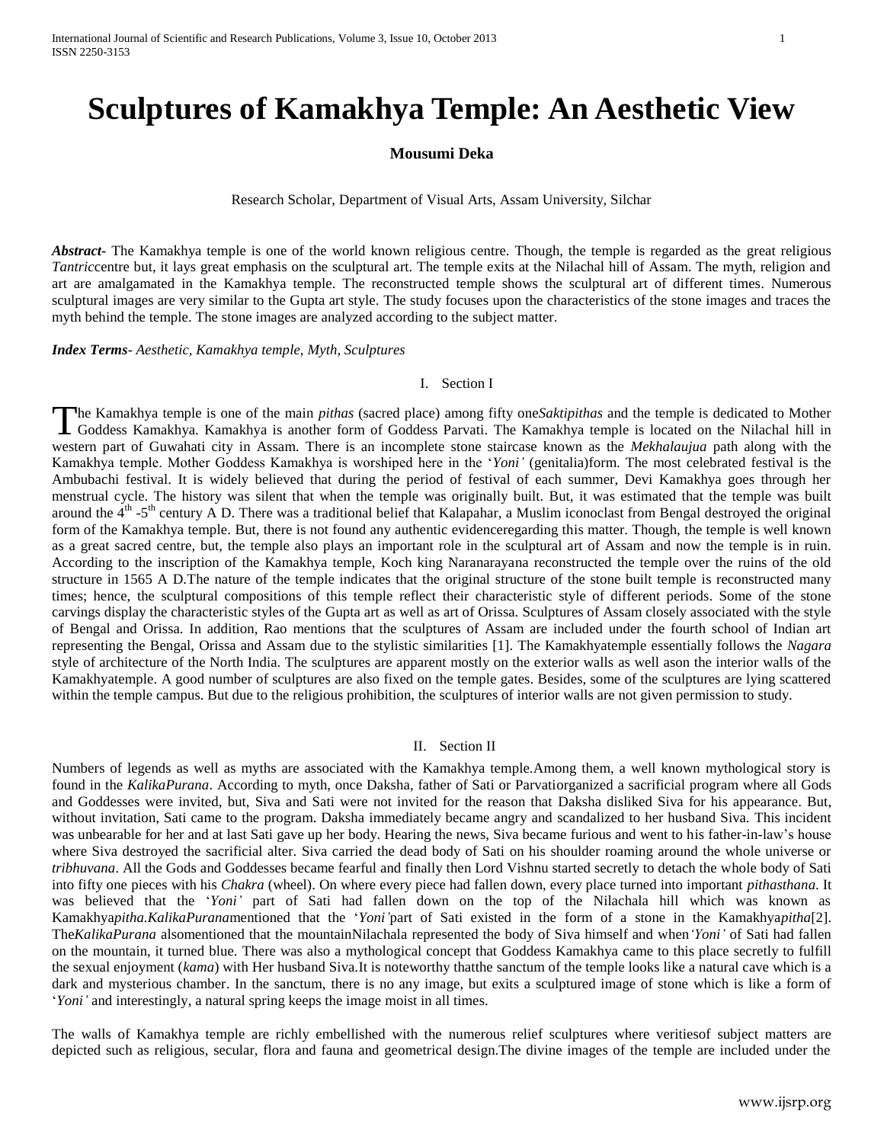# **Sculptures of Kamakhya Temple: An Aesthetic View**

# **Mousumi Deka**

Research Scholar, Department of Visual Arts, Assam University, Silchar

*Abstract***-** The Kamakhya temple is one of the world known religious centre. Though, the temple is regarded as the great religious *Tantric*centre but, it lays great emphasis on the sculptural art. The temple exits at the Nilachal hill of Assam. The myth, religion and art are amalgamated in the Kamakhya temple. The reconstructed temple shows the sculptural art of different times. Numerous sculptural images are very similar to the Gupta art style. The study focuses upon the characteristics of the stone images and traces the myth behind the temple. The stone images are analyzed according to the subject matter.

*Index Terms*- *Aesthetic, Kamakhya temple, Myth, Sculptures*

#### I. Section I

he Kamakhya temple is one of the main *pithas* (sacred place) among fifty one*Saktipithas* and the temple is dedicated to Mother The Kamakhya temple is one of the main *pithas* (sacred place) among fifty one Saktipithas and the temple is dedicated to Mother Goddess Kamakhya. Kamakhya is another form of Goddess Parvati. The Kamakhya temple is located western part of Guwahati city in Assam. There is an incomplete stone staircase known as the *Mekhalaujua* path along with the Kamakhya temple. Mother Goddess Kamakhya is worshiped here in the "*Yoni'* (genitalia)form. The most celebrated festival is the Ambubachi festival. It is widely believed that during the period of festival of each summer, Devi Kamakhya goes through her menstrual cycle. The history was silent that when the temple was originally built. But, it was estimated that the temple was built around the  $4<sup>th</sup>$  -5<sup>th</sup> century A D. There was a traditional belief that Kalapahar, a Muslim iconoclast from Bengal destroyed the original form of the Kamakhya temple. But, there is not found any authentic evidenceregarding this matter. Though, the temple is well known as a great sacred centre, but, the temple also plays an important role in the sculptural art of Assam and now the temple is in ruin. According to the inscription of the Kamakhya temple, Koch king Naranarayana reconstructed the temple over the ruins of the old structure in 1565 A D.The nature of the temple indicates that the original structure of the stone built temple is reconstructed many times; hence, the sculptural compositions of this temple reflect their characteristic style of different periods. Some of the stone carvings display the characteristic styles of the Gupta art as well as art of Orissa. Sculptures of Assam closely associated with the style of Bengal and Orissa. In addition, Rao mentions that the sculptures of Assam are included under the fourth school of Indian art representing the Bengal, Orissa and Assam due to the stylistic similarities [1]. The Kamakhyatemple essentially follows the *Nagara* style of architecture of the North India. The sculptures are apparent mostly on the exterior walls as well ason the interior walls of the Kamakhyatemple. A good number of sculptures are also fixed on the temple gates. Besides, some of the sculptures are lying scattered within the temple campus. But due to the religious prohibition, the sculptures of interior walls are not given permission to study.

## II. Section II

Numbers of legends as well as myths are associated with the Kamakhya temple.Among them, a well known mythological story is found in the *KalikaPurana*. According to myth, once Daksha, father of Sati or Parvatiorganized a sacrificial program where all Gods and Goddesses were invited, but, Siva and Sati were not invited for the reason that Daksha disliked Siva for his appearance. But, without invitation, Sati came to the program. Daksha immediately became angry and scandalized to her husband Siva. This incident was unbearable for her and at last Sati gave up her body. Hearing the news, Siva became furious and went to his father-in-law"s house where Siva destroyed the sacrificial alter. Siva carried the dead body of Sati on his shoulder roaming around the whole universe or *tribhuvana*. All the Gods and Goddesses became fearful and finally then Lord Vishnu started secretly to detach the whole body of Sati into fifty one pieces with his *Chakra* (wheel). On where every piece had fallen down, every place turned into important *pithasthana*. It was believed that the "*Yoni'* part of Sati had fallen down on the top of the Nilachala hill which was known as Kamakhya*pitha.KalikaPurana*mentioned that the "*Yoni'*part of Sati existed in the form of a stone in the Kamakhya*pitha*[2]. The*KalikaPurana* alsomentioned that the mountainNilachala represented the body of Siva himself and when*'Yoni'* of Sati had fallen on the mountain, it turned blue. There was also a mythological concept that Goddess Kamakhya came to this place secretly to fulfill the sexual enjoyment (*kama*) with Her husband Siva.It is noteworthy thatthe sanctum of the temple looks like a natural cave which is a dark and mysterious chamber. In the sanctum, there is no any image, but exits a sculptured image of stone which is like a form of 'Yoni' and interestingly, a natural spring keeps the image moist in all times.

The walls of Kamakhya temple are richly embellished with the numerous relief sculptures where veritiesof subject matters are depicted such as religious, secular, flora and fauna and geometrical design.The divine images of the temple are included under the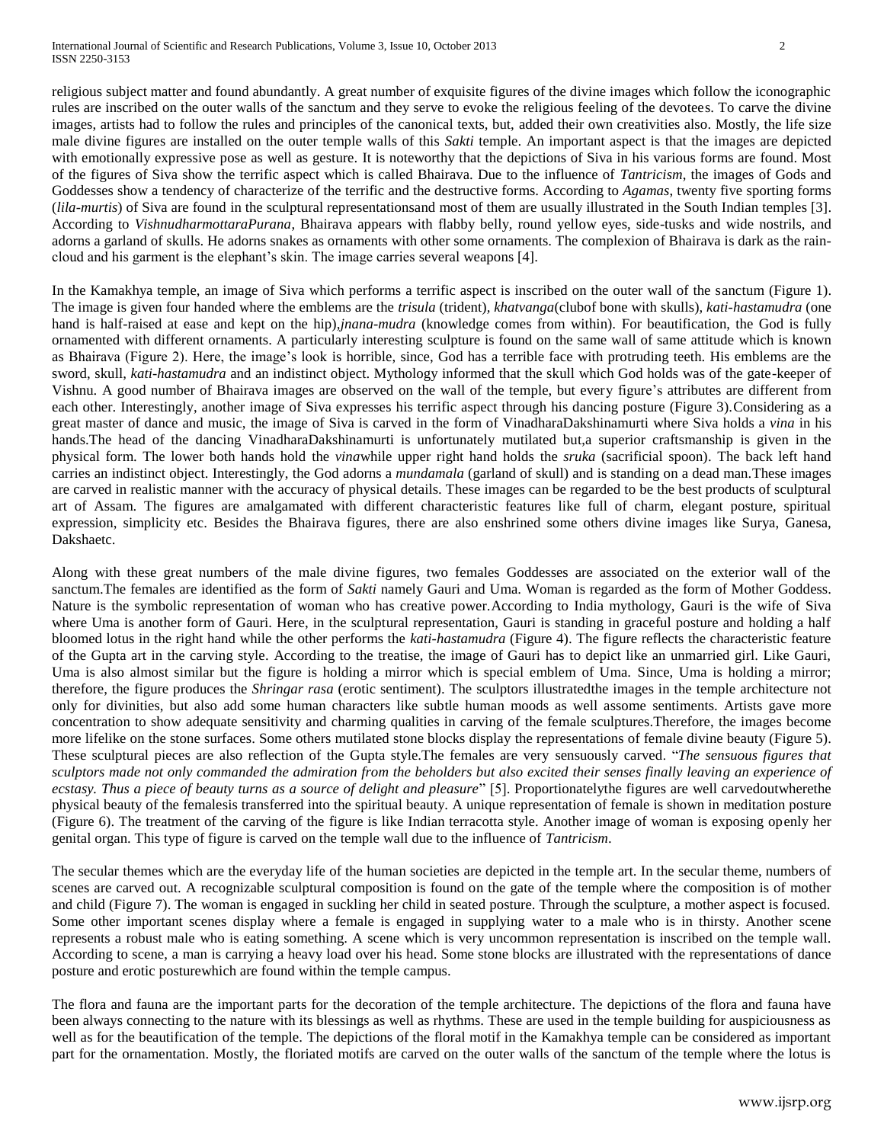religious subject matter and found abundantly. A great number of exquisite figures of the divine images which follow the iconographic rules are inscribed on the outer walls of the sanctum and they serve to evoke the religious feeling of the devotees. To carve the divine images, artists had to follow the rules and principles of the canonical texts, but, added their own creativities also. Mostly, the life size male divine figures are installed on the outer temple walls of this *Sakti* temple. An important aspect is that the images are depicted with emotionally expressive pose as well as gesture. It is noteworthy that the depictions of Siva in his various forms are found. Most of the figures of Siva show the terrific aspect which is called Bhairava. Due to the influence of *Tantricism*, the images of Gods and Goddesses show a tendency of characterize of the terrific and the destructive forms. According to *Agamas*, twenty five sporting forms (*lila-murtis*) of Siva are found in the sculptural representationsand most of them are usually illustrated in the South Indian temples [3]. According to *VishnudharmottaraPurana*, Bhairava appears with flabby belly, round yellow eyes, side-tusks and wide nostrils, and adorns a garland of skulls. He adorns snakes as ornaments with other some ornaments. The complexion of Bhairava is dark as the raincloud and his garment is the elephant"s skin. The image carries several weapons [4].

In the Kamakhya temple, an image of Siva which performs a terrific aspect is inscribed on the outer wall of the sanctum (Figure 1). The image is given four handed where the emblems are the *trisula* (trident)*, khatvanga*(clubof bone with skulls)*, kati-hastamudra* (one hand is half-raised at ease and kept on the hip),*jnana-mudra* (knowledge comes from within)*.* For beautification, the God is fully ornamented with different ornaments. A particularly interesting sculpture is found on the same wall of same attitude which is known as Bhairava (Figure 2). Here, the image"s look is horrible, since, God has a terrible face with protruding teeth. His emblems are the sword, skull, *kati-hastamudra* and an indistinct object. Mythology informed that the skull which God holds was of the gate-keeper of Vishnu. A good number of Bhairava images are observed on the wall of the temple, but every figure"s attributes are different from each other. Interestingly, another image of Siva expresses his terrific aspect through his dancing posture (Figure 3).Considering as a great master of dance and music, the image of Siva is carved in the form of VinadharaDakshinamurti where Siva holds a *vina* in his hands.The head of the dancing VinadharaDakshinamurti is unfortunately mutilated but,a superior craftsmanship is given in the physical form. The lower both hands hold the *vina*while upper right hand holds the *sruka* (sacrificial spoon). The back left hand carries an indistinct object. Interestingly, the God adorns a *mundamala* (garland of skull) and is standing on a dead man.These images are carved in realistic manner with the accuracy of physical details. These images can be regarded to be the best products of sculptural art of Assam. The figures are amalgamated with different characteristic features like full of charm, elegant posture, spiritual expression, simplicity etc. Besides the Bhairava figures, there are also enshrined some others divine images like Surya, Ganesa, Dakshaetc.

Along with these great numbers of the male divine figures, two females Goddesses are associated on the exterior wall of the sanctum.The females are identified as the form of *Sakti* namely Gauri and Uma. Woman is regarded as the form of Mother Goddess. Nature is the symbolic representation of woman who has creative power.According to India mythology, Gauri is the wife of Siva where Uma is another form of Gauri. Here, in the sculptural representation, Gauri is standing in graceful posture and holding a half bloomed lotus in the right hand while the other performs the *kati-hastamudra* (Figure 4). The figure reflects the characteristic feature of the Gupta art in the carving style. According to the treatise, the image of Gauri has to depict like an unmarried girl. Like Gauri, Uma is also almost similar but the figure is holding a mirror which is special emblem of Uma. Since, Uma is holding a mirror; therefore, the figure produces the *Shringar rasa* (erotic sentiment). The sculptors illustratedthe images in the temple architecture not only for divinities, but also add some human characters like subtle human moods as well assome sentiments. Artists gave more concentration to show adequate sensitivity and charming qualities in carving of the female sculptures.Therefore, the images become more lifelike on the stone surfaces. Some others mutilated stone blocks display the representations of female divine beauty (Figure 5). These sculptural pieces are also reflection of the Gupta style.The females are very sensuously carved. "*The sensuous figures that sculptors made not only commanded the admiration from the beholders but also excited their senses finally leaving an experience of ecstasy. Thus a piece of beauty turns as a source of delight and pleasure*" [5]. Proportionatelythe figures are well carvedoutwherethe physical beauty of the femalesis transferred into the spiritual beauty. A unique representation of female is shown in meditation posture (Figure 6). The treatment of the carving of the figure is like Indian terracotta style. Another image of woman is exposing openly her genital organ. This type of figure is carved on the temple wall due to the influence of *Tantricism*.

The secular themes which are the everyday life of the human societies are depicted in the temple art. In the secular theme, numbers of scenes are carved out. A recognizable sculptural composition is found on the gate of the temple where the composition is of mother and child (Figure 7). The woman is engaged in suckling her child in seated posture. Through the sculpture, a mother aspect is focused. Some other important scenes display where a female is engaged in supplying water to a male who is in thirsty. Another scene represents a robust male who is eating something. A scene which is very uncommon representation is inscribed on the temple wall. According to scene, a man is carrying a heavy load over his head. Some stone blocks are illustrated with the representations of dance posture and erotic posturewhich are found within the temple campus.

The flora and fauna are the important parts for the decoration of the temple architecture. The depictions of the flora and fauna have been always connecting to the nature with its blessings as well as rhythms. These are used in the temple building for auspiciousness as well as for the beautification of the temple. The depictions of the floral motif in the Kamakhya temple can be considered as important part for the ornamentation. Mostly, the floriated motifs are carved on the outer walls of the sanctum of the temple where the lotus is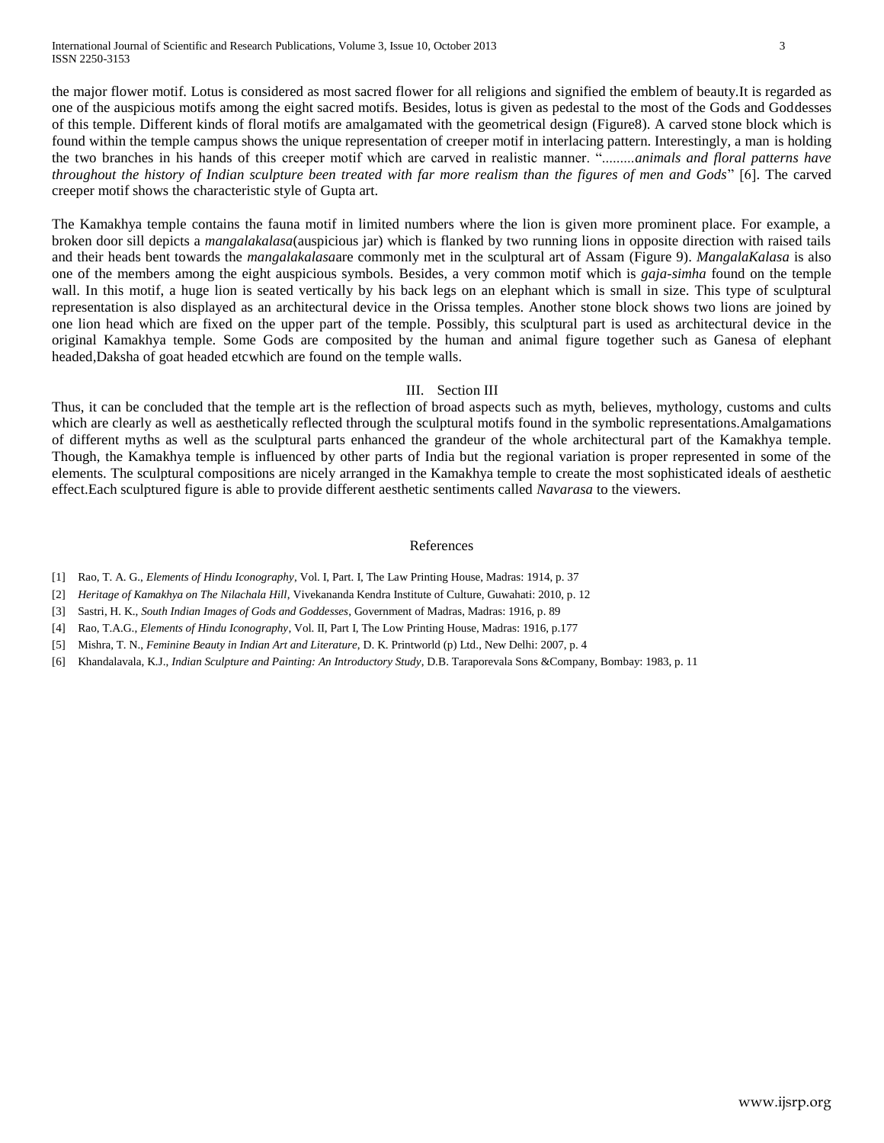the major flower motif. Lotus is considered as most sacred flower for all religions and signified the emblem of beauty.It is regarded as one of the auspicious motifs among the eight sacred motifs. Besides, lotus is given as pedestal to the most of the Gods and Goddesses of this temple. Different kinds of floral motifs are amalgamated with the geometrical design (Figure8). A carved stone block which is found within the temple campus shows the unique representation of creeper motif in interlacing pattern. Interestingly, a man is holding the two branches in his hands of this creeper motif which are carved in realistic manner. ".........*animals and floral patterns have throughout the history of Indian sculpture been treated with far more realism than the figures of men and Gods*" [6]. The carved creeper motif shows the characteristic style of Gupta art.

The Kamakhya temple contains the fauna motif in limited numbers where the lion is given more prominent place. For example, a broken door sill depicts a *mangalakalasa*(auspicious jar) which is flanked by two running lions in opposite direction with raised tails and their heads bent towards the *mangalakalasa*are commonly met in the sculptural art of Assam (Figure 9). *MangalaKalasa* is also one of the members among the eight auspicious symbols. Besides, a very common motif which is *gaja-simha* found on the temple wall. In this motif, a huge lion is seated vertically by his back legs on an elephant which is small in size. This type of sculptural representation is also displayed as an architectural device in the Orissa temples. Another stone block shows two lions are joined by one lion head which are fixed on the upper part of the temple. Possibly, this sculptural part is used as architectural device in the original Kamakhya temple. Some Gods are composited by the human and animal figure together such as Ganesa of elephant headed,Daksha of goat headed etcwhich are found on the temple walls.

#### III. Section III

Thus, it can be concluded that the temple art is the reflection of broad aspects such as myth, believes, mythology, customs and cults which are clearly as well as aesthetically reflected through the sculptural motifs found in the symbolic representations.Amalgamations of different myths as well as the sculptural parts enhanced the grandeur of the whole architectural part of the Kamakhya temple. Though, the Kamakhya temple is influenced by other parts of India but the regional variation is proper represented in some of the elements. The sculptural compositions are nicely arranged in the Kamakhya temple to create the most sophisticated ideals of aesthetic effect.Each sculptured figure is able to provide different aesthetic sentiments called *Navarasa* to the viewers.

### References

- [1] Rao, T. A. G., *Elements of Hindu Iconography*, Vol. I, Part. I, The Law Printing House, Madras: 1914, p. 37
- [2] *Heritage of Kamakhya on The Nilachala Hill*, Vivekananda Kendra Institute of Culture, Guwahati: 2010, p. 12
- [3] Sastri, H. K., *South Indian Images of Gods and Goddesses*, Government of Madras, Madras: 1916, p. 89
- [4] Rao, T.A.G., *Elements of Hindu Iconography*, Vol. II, Part I, The Low Printing House, Madras: 1916, p.177
- [5] Mishra, T. N., *Feminine Beauty in Indian Art and Literature*, D. K. Printworld (p) Ltd., New Delhi: 2007, p. 4
- [6] Khandalavala, K.J., *Indian Sculpture and Painting: An Introductory Study*, D.B. Taraporevala Sons &Company, Bombay: 1983, p. 11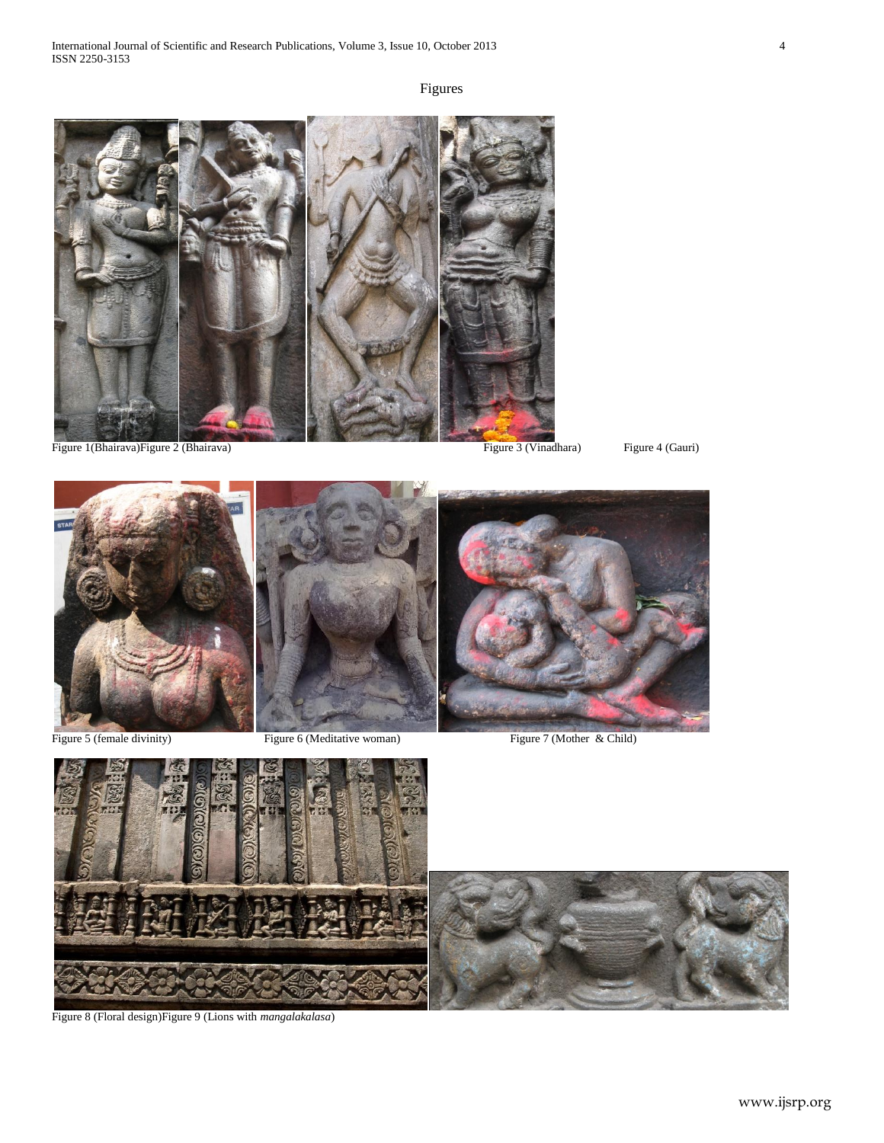# Figures









Figure 8 (Floral design)Figure 9 (Lions with *mangalakalasa*)